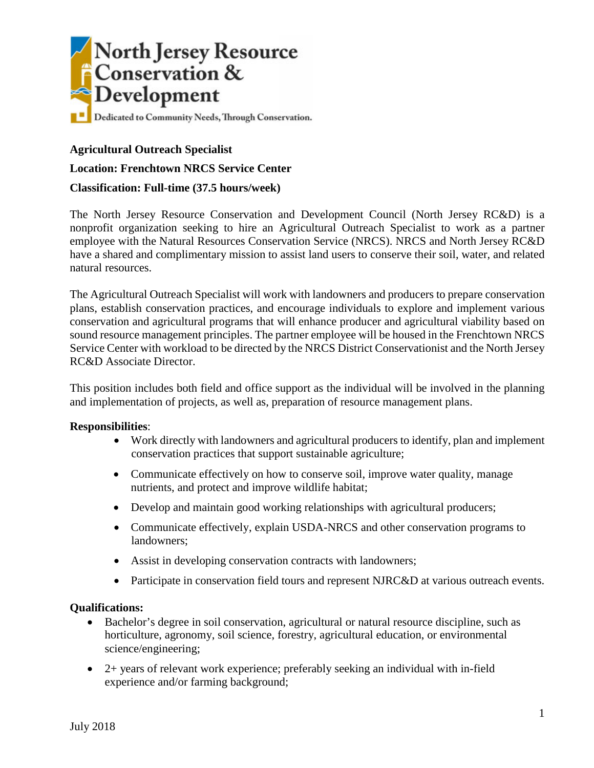

# **Agricultural Outreach Specialist**

**Location: Frenchtown NRCS Service Center**

### **Classification: Full-time (37.5 hours/week)**

The North Jersey Resource Conservation and Development Council (North Jersey RC&D) is a nonprofit organization seeking to hire an Agricultural Outreach Specialist to work as a partner employee with the Natural Resources Conservation Service (NRCS). NRCS and North Jersey RC&D have a shared and complimentary mission to assist land users to conserve their soil, water, and related natural resources.

The Agricultural Outreach Specialist will work with landowners and producers to prepare conservation plans, establish conservation practices, and encourage individuals to explore and implement various conservation and agricultural programs that will enhance producer and agricultural viability based on sound resource management principles. The partner employee will be housed in the Frenchtown NRCS Service Center with workload to be directed by the NRCS District Conservationist and the North Jersey RC&D Associate Director.

This position includes both field and office support as the individual will be involved in the planning and implementation of projects, as well as, preparation of resource management plans.

#### **Responsibilities**:

- Work directly with landowners and agricultural producers to identify, plan and implement conservation practices that support sustainable agriculture;
- Communicate effectively on how to conserve soil, improve water quality, manage nutrients, and protect and improve wildlife habitat;
- Develop and maintain good working relationships with agricultural producers;
- Communicate effectively, explain USDA-NRCS and other conservation programs to landowners;
- Assist in developing conservation contracts with landowners;
- Participate in conservation field tours and represent NJRC&D at various outreach events.

#### **Qualifications:**

- Bachelor's degree in soil conservation, agricultural or natural resource discipline, such as horticulture, agronomy, soil science, forestry, agricultural education, or environmental science/engineering;
- 2+ years of relevant work experience; preferably seeking an individual with in-field experience and/or farming background;